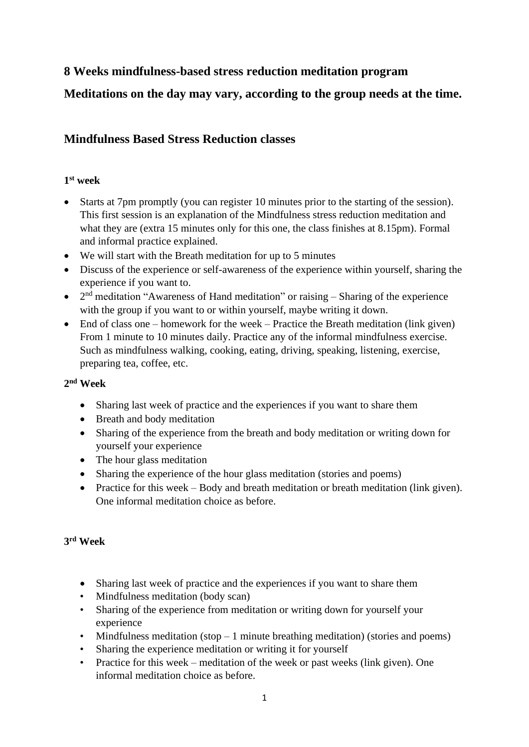# **8 Weeks mindfulness-based stress reduction meditation program**

# **Meditations on the day may vary, according to the group needs at the time.**

## **Mindfulness Based Stress Reduction classes**

### **1 st week**

- Starts at 7pm promptly (you can register 10 minutes prior to the starting of the session). This first session is an explanation of the Mindfulness stress reduction meditation and what they are (extra 15 minutes only for this one, the class finishes at 8.15pm). Formal and informal practice explained.
- We will start with the Breath meditation for up to 5 minutes
- Discuss of the experience or self-awareness of the experience within yourself, sharing the experience if you want to.
- $2<sup>nd</sup>$  meditation "Awareness of Hand meditation" or raising Sharing of the experience with the group if you want to or within yourself, maybe writing it down.
- End of class one homework for the week Practice the Breath meditation (link given) From 1 minute to 10 minutes daily. Practice any of the informal mindfulness exercise. Such as mindfulness walking, cooking, eating, driving, speaking, listening, exercise, preparing tea, coffee, etc.

### **2 nd Week**

- Sharing last week of practice and the experiences if you want to share them
- Breath and body meditation
- Sharing of the experience from the breath and body meditation or writing down for yourself your experience
- The hour glass meditation
- Sharing the experience of the hour glass meditation (stories and poems)
- Practice for this week Body and breath meditation or breath meditation (link given). One informal meditation choice as before.

### **3 rd Week**

- Sharing last week of practice and the experiences if you want to share them
- Mindfulness meditation (body scan)
- Sharing of the experience from meditation or writing down for yourself your experience
- Mindfulness meditation (stop 1 minute breathing meditation) (stories and poems)
- Sharing the experience meditation or writing it for yourself
- Practice for this week meditation of the week or past weeks (link given). One informal meditation choice as before.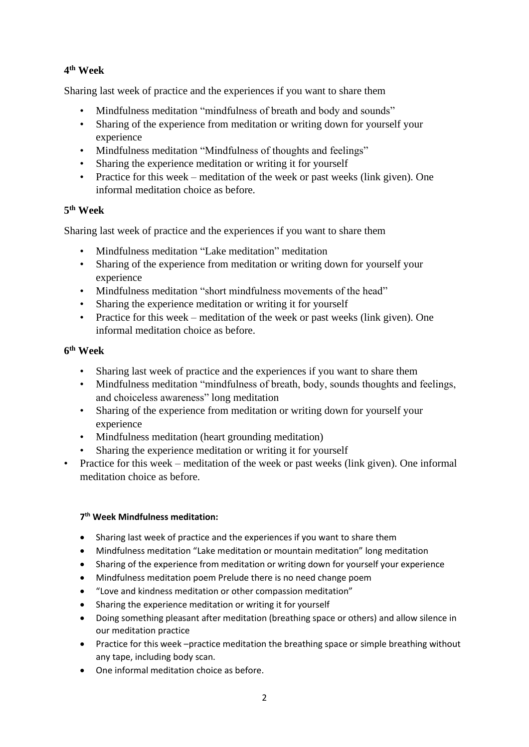## **4 th Week**

Sharing last week of practice and the experiences if you want to share them

- Mindfulness meditation "mindfulness of breath and body and sounds"
- Sharing of the experience from meditation or writing down for yourself your experience
- Mindfulness meditation "Mindfulness of thoughts and feelings"
- Sharing the experience meditation or writing it for yourself
- Practice for this week meditation of the week or past weeks (link given). One informal meditation choice as before.

### **5 th Week**

Sharing last week of practice and the experiences if you want to share them

- Mindfulness meditation "Lake meditation" meditation
- Sharing of the experience from meditation or writing down for yourself your experience
- Mindfulness meditation "short mindfulness movements of the head"
- Sharing the experience meditation or writing it for yourself
- Practice for this week meditation of the week or past weeks (link given). One informal meditation choice as before.

### **6 th Week**

- Sharing last week of practice and the experiences if you want to share them
- Mindfulness meditation "mindfulness of breath, body, sounds thoughts and feelings, and choiceless awareness" long meditation
- Sharing of the experience from meditation or writing down for yourself your experience
- Mindfulness meditation (heart grounding meditation)
- Sharing the experience meditation or writing it for yourself
- Practice for this week meditation of the week or past weeks (link given). One informal meditation choice as before.

### **7 th Week Mindfulness meditation:**

- Sharing last week of practice and the experiences if you want to share them
- Mindfulness meditation "Lake meditation or mountain meditation" long meditation
- Sharing of the experience from meditation or writing down for yourself your experience
- Mindfulness meditation poem Prelude there is no need change poem
- "Love and kindness meditation or other compassion meditation"
- Sharing the experience meditation or writing it for yourself
- Doing something pleasant after meditation (breathing space or others) and allow silence in our meditation practice
- Practice for this week –practice meditation the breathing space or simple breathing without any tape, including body scan.
- One informal meditation choice as before.